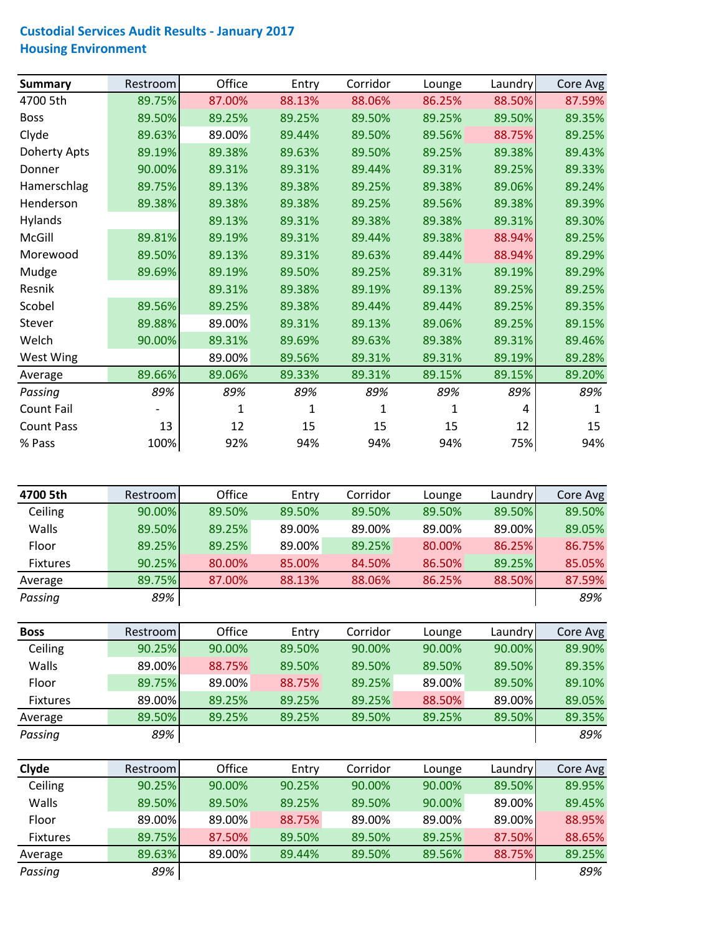## **Custodial Services Audit Results ‐ January 2017 Housing Environment**

| <b>Summary</b>      | Restroom | Office | Entry  | Corridor | Lounge | Laundry | Core Avg |
|---------------------|----------|--------|--------|----------|--------|---------|----------|
| 4700 5th            | 89.75%   | 87.00% | 88.13% | 88.06%   | 86.25% | 88.50%  | 87.59%   |
| <b>Boss</b>         | 89.50%   | 89.25% | 89.25% | 89.50%   | 89.25% | 89.50%  | 89.35%   |
| Clyde               | 89.63%   | 89.00% | 89.44% | 89.50%   | 89.56% | 88.75%  | 89.25%   |
| <b>Doherty Apts</b> | 89.19%   | 89.38% | 89.63% | 89.50%   | 89.25% | 89.38%  | 89.43%   |
| Donner              | 90.00%   | 89.31% | 89.31% | 89.44%   | 89.31% | 89.25%  | 89.33%   |
| Hamerschlag         | 89.75%   | 89.13% | 89.38% | 89.25%   | 89.38% | 89.06%  | 89.24%   |
| Henderson           | 89.38%   | 89.38% | 89.38% | 89.25%   | 89.56% | 89.38%  | 89.39%   |
| Hylands             |          | 89.13% | 89.31% | 89.38%   | 89.38% | 89.31%  | 89.30%   |
| McGill              | 89.81%   | 89.19% | 89.31% | 89.44%   | 89.38% | 88.94%  | 89.25%   |
| Morewood            | 89.50%   | 89.13% | 89.31% | 89.63%   | 89.44% | 88.94%  | 89.29%   |
| Mudge               | 89.69%   | 89.19% | 89.50% | 89.25%   | 89.31% | 89.19%  | 89.29%   |
| Resnik              |          | 89.31% | 89.38% | 89.19%   | 89.13% | 89.25%  | 89.25%   |
| Scobel              | 89.56%   | 89.25% | 89.38% | 89.44%   | 89.44% | 89.25%  | 89.35%   |
| Stever              | 89.88%   | 89.00% | 89.31% | 89.13%   | 89.06% | 89.25%  | 89.15%   |
| Welch               | 90.00%   | 89.31% | 89.69% | 89.63%   | 89.38% | 89.31%  | 89.46%   |
| West Wing           |          | 89.00% | 89.56% | 89.31%   | 89.31% | 89.19%  | 89.28%   |
| Average             | 89.66%   | 89.06% | 89.33% | 89.31%   | 89.15% | 89.15%  | 89.20%   |
| Passing             | 89%      | 89%    | 89%    | 89%      | 89%    | 89%     | 89%      |
| Count Fail          |          | 1      | 1      | 1        | 1      | 4       | 1        |
| <b>Count Pass</b>   | 13       | 12     | 15     | 15       | 15     | 12      | 15       |
| % Pass              | 100%     | 92%    | 94%    | 94%      | 94%    | 75%     | 94%      |

| 4700 5th        | Restroom | Office | Entry  | Corridor | Lounge | Laundry | Core Avg |
|-----------------|----------|--------|--------|----------|--------|---------|----------|
| Ceiling         | 90.00%   | 89.50% | 89.50% | 89.50%   | 89.50% | 89.50%  | 89.50%   |
| Walls           | 89.50%   | 89.25% | 89.00% | 89.00%   | 89.00% | 89.00%  | 89.05%   |
| Floor           | 89.25%   | 89.25% | 89.00% | 89.25%   | 80.00% | 86.25%  | 86.75%   |
| <b>Fixtures</b> | 90.25%   | 80.00% | 85.00% | 84.50%   | 86.50% | 89.25%  | 85.05%   |
| Average         | 89.75%   | 87.00% | 88.13% | 88.06%   | 86.25% | 88.50%  | 87.59%   |
| Passing         | 89%      |        |        |          |        |         | 89%      |

| <b>Boss</b>     | Restroom | Office | Entry  | Corridor | Lounge | Laundry | Core Avg |
|-----------------|----------|--------|--------|----------|--------|---------|----------|
| Ceiling         | 90.25%   | 90.00% | 89.50% | 90.00%   | 90.00% | 90.00%  | 89.90%   |
| Walls           | 89.00%   | 88.75% | 89.50% | 89.50%   | 89.50% | 89.50%  | 89.35%   |
| Floor           | 89.75%   | 89.00% | 88.75% | 89.25%   | 89.00% | 89.50%  | 89.10%   |
| <b>Fixtures</b> | 89.00%   | 89.25% | 89.25% | 89.25%   | 88.50% | 89.00%  | 89.05%   |
| Average         | 89.50%   | 89.25% | 89.25% | 89.50%   | 89.25% | 89.50%  | 89.35%   |
| Passing         | 89%      |        |        |          |        |         | 89%      |

| Clyde           | <b>Restroom</b> | Office | Entry  | Corridor | Lounge | Laundry | Core Avg |
|-----------------|-----------------|--------|--------|----------|--------|---------|----------|
| Ceiling         | 90.25%          | 90.00% | 90.25% | 90.00%   | 90.00% | 89.50%  | 89.95%   |
| Walls           | 89.50%          | 89.50% | 89.25% | 89.50%   | 90.00% | 89.00%  | 89.45%   |
| Floor           | 89.00%          | 89.00% | 88.75% | 89.00%   | 89.00% | 89.00%  | 88.95%   |
| <b>Fixtures</b> | 89.75%          | 87.50% | 89.50% | 89.50%   | 89.25% | 87.50%  | 88.65%   |
| Average         | 89.63%          | 89.00% | 89.44% | 89.50%   | 89.56% | 88.75%  | 89.25%   |
| Passing         | 89%             |        |        |          |        |         | 89%      |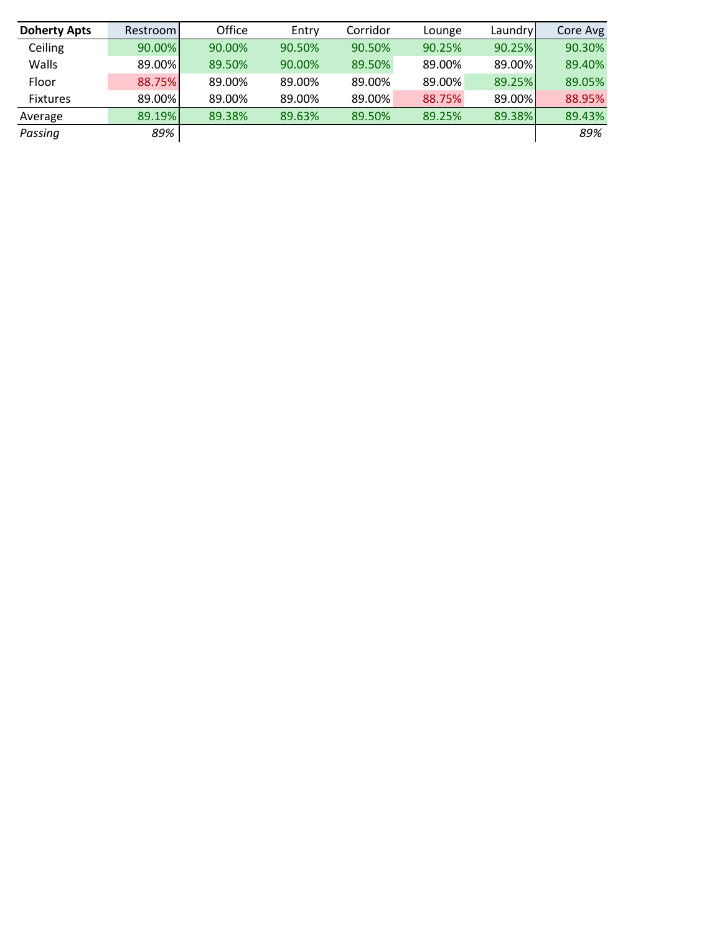| <b>Doherty Apts</b> | Restroom | Office | Entry  | Corridor | Lounge | Laundry | Core Avg |
|---------------------|----------|--------|--------|----------|--------|---------|----------|
| Ceiling             | 90.00%   | 90.00% | 90.50% | 90.50%   | 90.25% | 90.25%  | 90.30%   |
| Walls               | 89.00%   | 89.50% | 90.00% | 89.50%   | 89.00% | 89.00%  | 89.40%   |
| Floor               | 88.75%   | 89.00% | 89.00% | 89.00%   | 89.00% | 89.25%  | 89.05%   |
| <b>Fixtures</b>     | 89.00%   | 89.00% | 89.00% | 89.00%   | 88.75% | 89.00%  | 88.95%   |
| Average             | 89.19%   | 89.38% | 89.63% | 89.50%   | 89.25% | 89.38%  | 89.43%   |
| Passing             | 89%      |        |        |          |        |         | 89%      |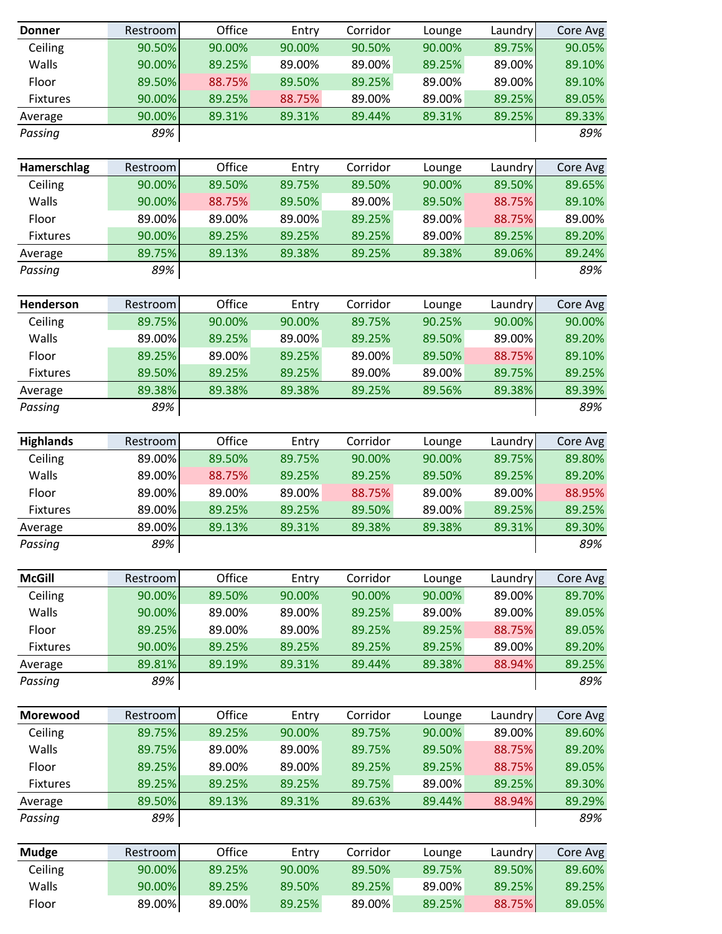| <b>Donner</b>    | Restroom | Office | Entry  | Corridor | Lounge | Laundry | Core Avg |
|------------------|----------|--------|--------|----------|--------|---------|----------|
| Ceiling          | 90.50%   | 90.00% | 90.00% | 90.50%   | 90.00% | 89.75%  | 90.05%   |
| Walls            | 90.00%   | 89.25% | 89.00% | 89.00%   | 89.25% | 89.00%  | 89.10%   |
| Floor            | 89.50%   | 88.75% | 89.50% | 89.25%   | 89.00% | 89.00%  | 89.10%   |
| <b>Fixtures</b>  | 90.00%   | 89.25% | 88.75% | 89.00%   | 89.00% | 89.25%  | 89.05%   |
| Average          | 90.00%   | 89.31% | 89.31% | 89.44%   | 89.31% | 89.25%  | 89.33%   |
| Passing          | 89%      |        |        |          |        |         | 89%      |
|                  |          |        |        |          |        |         |          |
| Hamerschlag      | Restroom | Office | Entry  | Corridor | Lounge | Laundry | Core Avg |
| Ceiling          | 90.00%   | 89.50% | 89.75% | 89.50%   | 90.00% | 89.50%  | 89.65%   |
| Walls            | 90.00%   | 88.75% | 89.50% | 89.00%   | 89.50% | 88.75%  | 89.10%   |
| Floor            | 89.00%   | 89.00% | 89.00% | 89.25%   | 89.00% | 88.75%  | 89.00%   |
| Fixtures         | 90.00%   | 89.25% | 89.25% | 89.25%   | 89.00% | 89.25%  | 89.20%   |
| Average          | 89.75%   | 89.13% | 89.38% | 89.25%   | 89.38% | 89.06%  | 89.24%   |
| Passing          | 89%      |        |        |          |        |         | 89%      |
|                  |          |        |        |          |        |         |          |
| Henderson        | Restroom | Office | Entry  | Corridor | Lounge | Laundry | Core Avg |
| Ceiling          | 89.75%   | 90.00% | 90.00% | 89.75%   | 90.25% | 90.00%  | 90.00%   |
| Walls            | 89.00%   | 89.25% | 89.00% | 89.25%   | 89.50% | 89.00%  | 89.20%   |
| Floor            | 89.25%   | 89.00% | 89.25% | 89.00%   | 89.50% | 88.75%  | 89.10%   |
| Fixtures         | 89.50%   | 89.25% | 89.25% | 89.00%   | 89.00% | 89.75%  | 89.25%   |
| Average          | 89.38%   | 89.38% | 89.38% | 89.25%   | 89.56% | 89.38%  | 89.39%   |
| Passing          | 89%      |        |        |          |        |         | 89%      |
|                  |          |        |        |          |        |         |          |
| <b>Highlands</b> | Restroom | Office | Entry  | Corridor | Lounge | Laundry | Core Avg |
| Ceiling          | 89.00%   | 89.50% | 89.75% | 90.00%   | 90.00% | 89.75%  | 89.80%   |
| Walls            | 89.00%   | 88.75% | 89.25% | 89.25%   | 89.50% | 89.25%  | 89.20%   |
| Floor            | 89.00%   | 89.00% | 89.00% | 88.75%   | 89.00% | 89.00%  | 88.95%   |
| <b>Fixtures</b>  | 89.00%   | 89.25% | 89.25% | 89.50%   | 89.00% | 89.25%  | 89.25%   |
| Average          | 89.00%   | 89.13% | 89.31% | 89.38%   | 89.38% | 89.31%  | 89.30%   |
| Passing          | 89%      |        |        |          |        |         | 89%      |
|                  |          |        |        |          |        |         |          |
| <b>McGill</b>    | Restroom | Office | Entry  | Corridor | Lounge | Laundry | Core Avg |
| Ceiling          | 90.00%   | 89.50% | 90.00% | 90.00%   | 90.00% | 89.00%  | 89.70%   |
| Walls            | 90.00%   | 89.00% | 89.00% | 89.25%   | 89.00% | 89.00%  | 89.05%   |
| Floor            | 89.25%   | 89.00% | 89.00% | 89.25%   | 89.25% | 88.75%  | 89.05%   |
| Fixtures         | 90.00%   | 89.25% | 89.25% | 89.25%   | 89.25% | 89.00%  | 89.20%   |
| Average          | 89.81%   | 89.19% | 89.31% | 89.44%   | 89.38% | 88.94%  | 89.25%   |
| Passing          | 89%      |        |        |          |        |         | 89%      |
|                  |          |        |        |          |        |         |          |
| Morewood         | Restroom | Office | Entry  | Corridor | Lounge | Laundry | Core Avg |
| Ceiling          | 89.75%   | 89.25% | 90.00% | 89.75%   | 90.00% | 89.00%  | 89.60%   |
| Walls            | 89.75%   | 89.00% | 89.00% | 89.75%   | 89.50% | 88.75%  | 89.20%   |
| Floor            | 89.25%   | 89.00% | 89.00% | 89.25%   | 89.25% | 88.75%  | 89.05%   |
| Fixtures         | 89.25%   | 89.25% | 89.25% | 89.75%   | 89.00% | 89.25%  | 89.30%   |
| Average          | 89.50%   | 89.13% | 89.31% | 89.63%   | 89.44% | 88.94%  | 89.29%   |
| Passing          | 89%      |        |        |          |        |         | 89%      |
|                  |          | Office |        |          |        |         |          |
| <b>Mudge</b>     | Restroom |        | Entry  | Corridor | Lounge | Laundry | Core Avg |
| Ceiling          | 90.00%   | 89.25% | 90.00% | 89.50%   | 89.75% | 89.50%  | 89.60%   |
| Walls            | 90.00%   | 89.25% | 89.50% | 89.25%   | 89.00% | 89.25%  | 89.25%   |
| Floor            | 89.00%   | 89.00% | 89.25% | 89.00%   | 89.25% | 88.75%  | 89.05%   |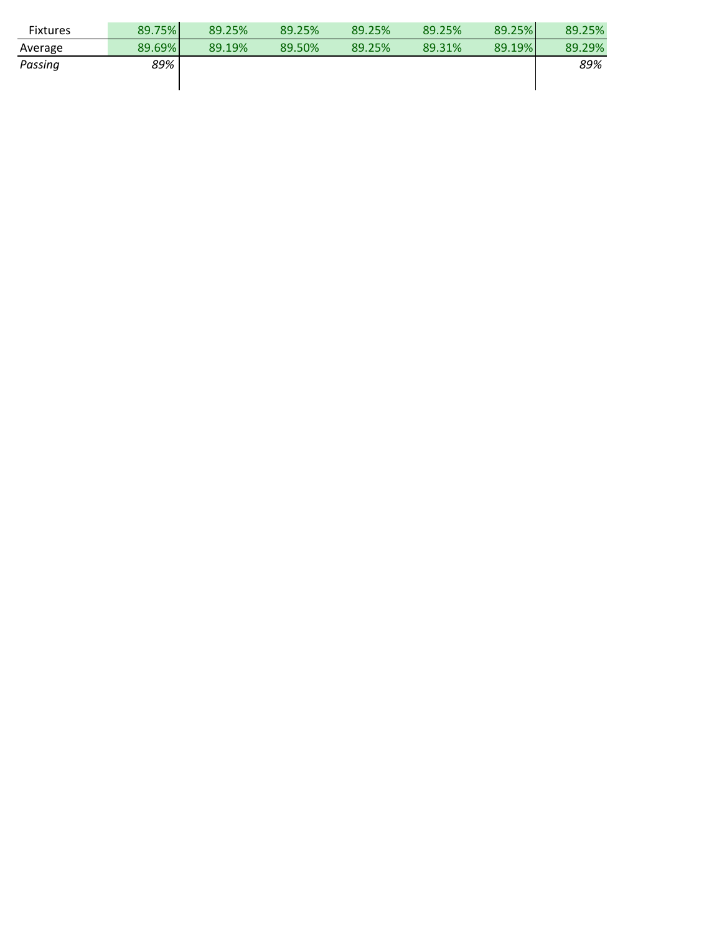| <b>Fixtures</b> | 89.75% | 89.25% | 89.25% | 89.25% | 89.25% | 89.25% | 89.25% |
|-----------------|--------|--------|--------|--------|--------|--------|--------|
| Average         | 89.69% | 89.19% | 89.50% | 89.25% | 89.31% | 89.19% | 89.29% |
| Passing         | 89%    |        |        |        |        |        | 89%    |
|                 |        |        |        |        |        |        |        |